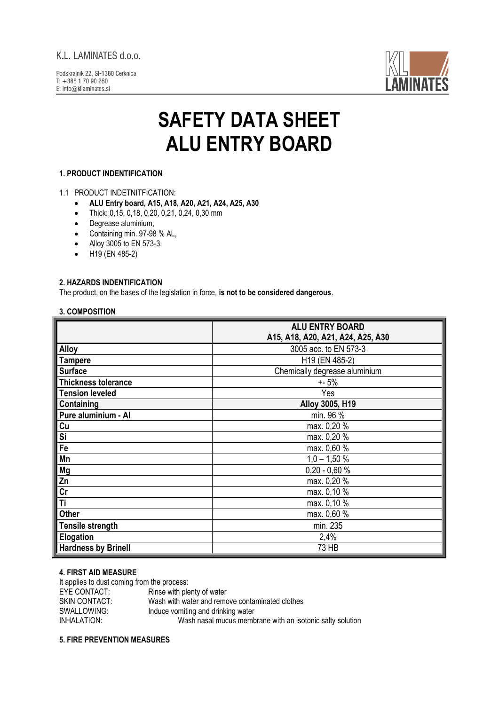# K.L. LAMINATES d.o.o.

Podskrainik 22. SI-1380 Cerknica  $T: +38617090260$ E: info@kllaminates.si



# **SAFETY DATA SHEET ALU ENTRY BOARD**

# **1. PRODUCT INDENTIFICATION**

## 1.1 PRODUCT INDETNITFICATION:

- **ALU Entry board, A15, A18, A20, A21, A24, A25, A30**
- Thick: 0,15, 0,18, 0,20, 0,21, 0,24, 0,30 mm
- Degrease aluminium,
- Containing min. 97-98 % AL,
- Alloy 3005 to EN 573-3,
- H19 (EN 485-2)

# **2. HAZARDS INDENTIFICATION**

The product, on the bases of the legislation in force, **is not to be considered dangerous**.

# **3. COMPOSITION**

|                            | <b>ALU ENTRY BOARD</b>            |
|----------------------------|-----------------------------------|
|                            | A15, A18, A20, A21, A24, A25, A30 |
| <b>Alloy</b>               | 3005 acc. to EN 573-3             |
| <b>Tampere</b>             | H19 (EN 485-2)                    |
| <b>Surface</b>             | Chemically degrease aluminium     |
| <b>Thickness tolerance</b> | $+ - 5%$                          |
| <b>Tension leveled</b>     | Yes                               |
| Containing                 | Alloy 3005, H19                   |
| Pure aluminium - Al        | min. 96 %                         |
| Cu                         | max. 0,20 %                       |
| Si                         | max. 0,20 %                       |
| Fe                         | max. 0,60 %                       |
| Mn                         | $1,0 - 1,50 %$                    |
| Mg                         | $0,20 - 0,60 %$                   |
| Zn                         | max. 0,20 %                       |
| cr                         | max. 0,10 %                       |
| Ti                         | max. 0,10 %                       |
| Other                      | max. 0,60 %                       |
| <b>Tensile strength</b>    | min. 235                          |
| Elogation                  | 2,4%                              |
| <b>Hardness by Brinell</b> | 73 HB                             |

# **4. FIRST AID MEASURE**

It applies to dust coming from the process:<br>EYE CONTACT: Rinse with ple Rinse with plenty of water SKIN CONTACT: Wash with water and remove contaminated clothes SWALLOWING: Induce vomiting and drinking water INHALATION: Wash nasal mucus membrane with an isotonic salty solution

## **5. FIRE PREVENTION MEASURES**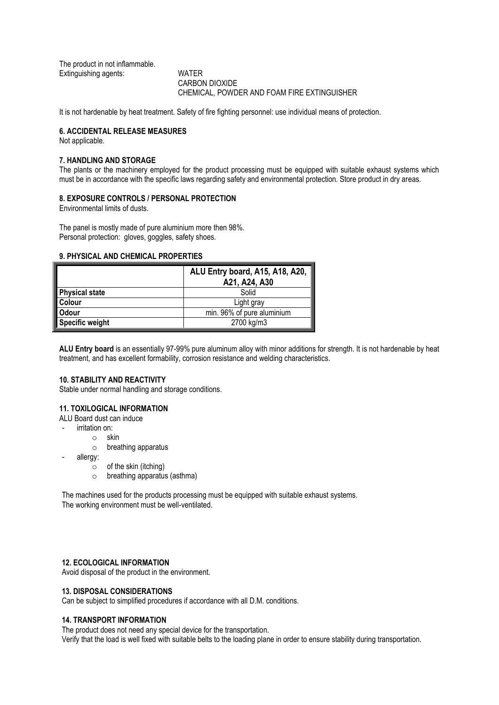The product in not inflammable. Extinguishing agents: WATER

CARBON DIOXIDE CHEMICAL, POWDER AND FOAM FIRE EXTINGUISHER

It is not hardenable by heat treatment. Safety of fire fighting personnel: use individual means of protection.

#### **6. ACCIDENTAL RELEASE MEASURES**

Not applicable.

#### **7. HANDLING AND STORAGE**

The plants or the machinery employed for the product processing must be equipped with suitable exhaust systems which must be in accordance with the specific laws regarding safety and environmental protection. Store product in dry areas.

#### **8. EXPOSURE CONTROLS / PERSONAL PROTECTION**

Environmental limits of dusts.

The panel is mostly made of pure aluminium more then 98%. Personal protection: gloves, goggles, safety shoes.

#### **9. PHYSICAL AND CHEMICAL PROPERTIES**

|                        | ALU Entry board, A15, A18, A20,<br>A21, A24, A30 |
|------------------------|--------------------------------------------------|
| <b>Physical state</b>  | Solid                                            |
| Colour                 | Light gray                                       |
| Odour                  | min. 96% of pure aluminium                       |
| <b>Specific weight</b> | 2700 kg/m3                                       |

**ALU Entry board** is an essentially 97-99% pure aluminum alloy with minor additions for strength. It is not hardenable by heat treatment, and has excellent formability, corrosion resistance and welding characteristics.

# **10. STABILITY AND REACTIVITY**

Stable under normal handling and storage conditions.

#### **11. TOXILOGICAL INFORMATION**

ALU Board dust can induce

- irritation on:
	- o skin
		- o breathing apparatus
- allergy:
	- $\circ$  of the skin (itching)
	- o breathing apparatus (asthma)

The machines used for the products processing must be equipped with suitable exhaust systems. The working environment must be well-ventilated.

#### **12. ECOLOGICAL INFORMATION**

Avoid disposal of the product in the environment.

# **13. DISPOSAL CONSIDERATIONS**

Can be subject to simplified procedures if accordance with all D.M. conditions.

#### **14. TRANSPORT INFORMATION**

The product does not need any special device for the transportation. Verify that the load is well fixed with suitable belts to the loading plane in order to ensure stability during transportation.